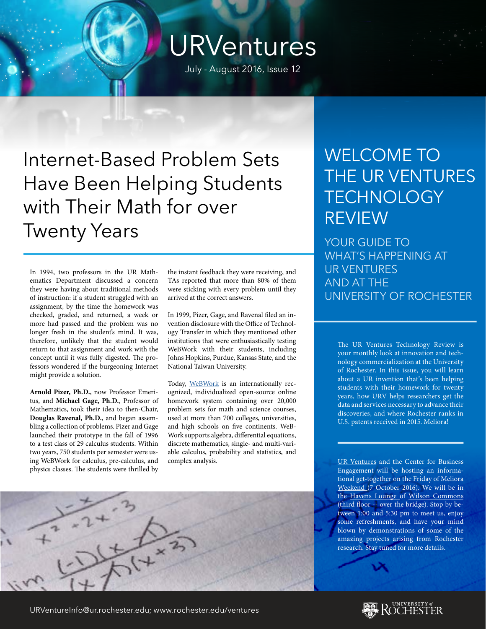## URVentures

July - August 2016, Issue 12

Internet-Based Problem Sets Have Been Helping Students with Their Math for over Twenty Years

In 1994, two professors in the UR Mathematics Department discussed a concern they were having about traditional methods of instruction: if a student struggled with an assignment, by the time the homework was checked, graded, and returned, a week or more had passed and the problem was no longer fresh in the student's mind. It was, therefore, unlikely that the student would return to that assignment and work with the concept until it was fully digested. The professors wondered if the burgeoning Internet might provide a solution.

**Arnold Pizer, Ph.D.**, now Professor Emeritus, and **Michael Gage, Ph.D.**, Professor of Mathematics, took their idea to then-Chair, **Douglas Ravenal, Ph.D.**, and began assembling a collection of problems. Pizer and Gage launched their prototype in the fall of 1996 to a test class of 29 calculus students. Within two years, 750 students per semester were using WeBWork for calculus, pre-calculus, and physics classes. The students were thrilled by

the instant feedback they were receiving, and TAs reported that more than 80% of them were sticking with every problem until they arrived at the correct answers.

In 1999, Pizer, Gage, and Ravenal filed an invention disclosure with the Office of Technology Transfer in which they mentioned other institutions that were enthusiastically testing WeBWork with their students, including Johns Hopkins, Purdue, Kansas State, and the National Taiwan University.

Today, [WeBWork](http://webwork.maa.org/intro.html) is an internationally recognized, individualized open-source online homework system containing over 20,000 problem sets for math and science courses, used at more than 700 colleges, universities, and high schools on five continents. WeB-Work supports algebra, differential equations, discrete mathematics, single- and multi-variable calculus, probability and statistics, and complex analysis.

## WELCOME TO THE UR VENTURES **TECHNOLOGY** REVIEW

YOUR GUIDE TO WHAT'S HAPPENING AT UR VENTURES AND AT THE UNIVERSITY OF ROCHESTER

The UR Ventures Technology Review is your monthly look at innovation and technology commercialization at the University of Rochester. In this issue, you will learn about a UR invention that's been helping students with their homework for twenty years, how URV helps researchers get the data and services necessary to advance their discoveries, and where Rochester ranks in U.S. patents received in 2015. Meliora!

[UR Ventures](http://www.rochester.edu/ventures/) and the Center for Business Engagement will be hosting an informational get-together on the Friday of [Meliora](https://www.rochester.edu/melioraweekend/) [Weekend](https://www.rochester.edu/melioraweekend/) (7 October 2016). We will be in the [Havens Lounge o](https://www.calendar.rochester.edu/ImageViewer.aspx?data=TEyF5scSl9kChx%2fPdjLIsw%3d%3d)f [Wilson Commons](http://www.rochester.edu/college/wcsa/commons/) (third floor -- over the bridge). Stop by between 1:00 and 5:30 pm to meet us, enjoy some refreshments, and have your mind blown by demonstrations of some of the amazing projects arising from Rochester research. Stay tuned for more details.

URVentureInfo@ur.rochester.edu; www.rochester.edu/ventures